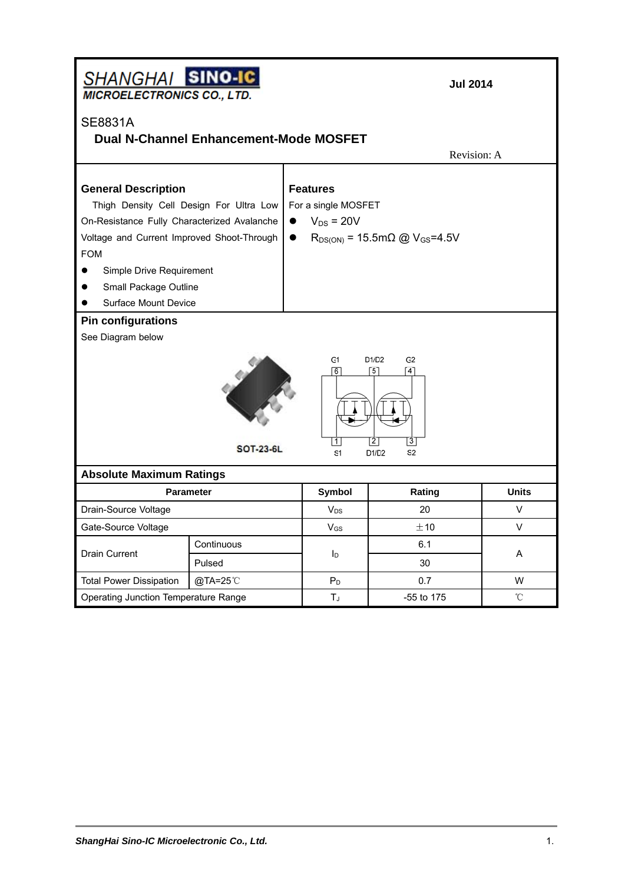| SHANGHAI SINO-IC<br><b>MICROELECTRONICS CO., LTD.</b>                                                                                                                                              |                                                                                                                                                                                                                                                                                      |  | <b>Jul 2014</b> |                  |              |  |  |
|----------------------------------------------------------------------------------------------------------------------------------------------------------------------------------------------------|--------------------------------------------------------------------------------------------------------------------------------------------------------------------------------------------------------------------------------------------------------------------------------------|--|-----------------|------------------|--------------|--|--|
| <b>SE8831A</b><br><b>Dual N-Channel Enhancement-Mode MOSFET</b><br>Revision: A                                                                                                                     |                                                                                                                                                                                                                                                                                      |  |                 |                  |              |  |  |
| <b>General Description</b><br><b>FOM</b><br>Simple Drive Requirement<br>Small Package Outline<br><b>Surface Mount Device</b>                                                                       | <b>Features</b><br>For a single MOSFET<br>Thigh Density Cell Design For Ultra Low<br>$V_{DS}$ = 20V<br>On-Resistance Fully Characterized Avalanche<br>Voltage and Current Improved Shoot-Through<br>$R_{DS(ON)} = 15.5 \text{m}\Omega \text{ @ } V_{GS} = 4.5 \text{V}$<br>$\bullet$ |  |                 |                  |              |  |  |
| <b>Pin configurations</b><br>See Diagram below<br>G1<br>D1/D2<br>G2<br>ொ<br>[5]<br>[4]<br>21<br>$\lceil 3 \rceil$<br>$\mathbf{1}$<br><b>SOT-23-6L</b><br>S <sub>1</sub><br>D1/D2<br>S <sub>2</sub> |                                                                                                                                                                                                                                                                                      |  |                 |                  |              |  |  |
| <b>Absolute Maximum Ratings</b>                                                                                                                                                                    | <b>Parameter</b>                                                                                                                                                                                                                                                                     |  | <b>Symbol</b>   | Rating           | <b>Units</b> |  |  |
| Drain-Source Voltage                                                                                                                                                                               |                                                                                                                                                                                                                                                                                      |  | $V_{DS}$        | 20               | V            |  |  |
| Gate-Source Voltage                                                                                                                                                                                |                                                                                                                                                                                                                                                                                      |  | $V_{GS}$        | ±10              | V            |  |  |
| <b>Drain Current</b>                                                                                                                                                                               | Continuous<br>Pulsed                                                                                                                                                                                                                                                                 |  | $I_{\text{D}}$  | 6.1<br>30        | A            |  |  |
| <b>Total Power Dissipation</b>                                                                                                                                                                     | @TA=25°C                                                                                                                                                                                                                                                                             |  | P <sub>D</sub>  | 0.7              | w            |  |  |
| Operating Junction Temperature Range                                                                                                                                                               |                                                                                                                                                                                                                                                                                      |  | TJ.             | °C<br>-55 to 175 |              |  |  |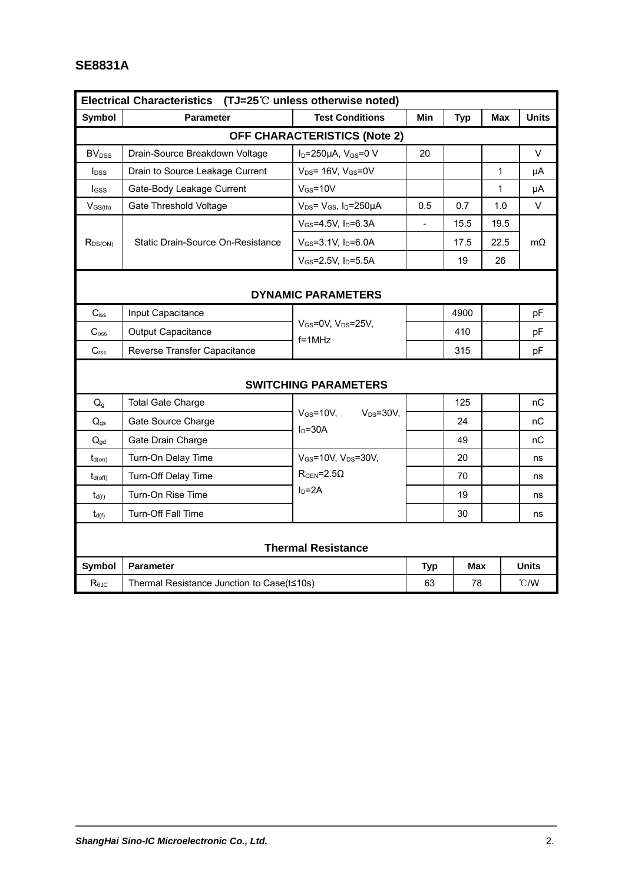## **SE8831A**

| Electrical Characteristics (TJ=25 $\degree$ C unless otherwise noted) |                                            |                                                           |     |            |      |              |  |  |  |
|-----------------------------------------------------------------------|--------------------------------------------|-----------------------------------------------------------|-----|------------|------|--------------|--|--|--|
| Symbol                                                                | <b>Parameter</b>                           | <b>Test Conditions</b>                                    | Min | <b>Typ</b> | Max  | <b>Units</b> |  |  |  |
| <b>OFF CHARACTERISTICS (Note 2)</b>                                   |                                            |                                                           |     |            |      |              |  |  |  |
| <b>BV</b> <sub>DSS</sub>                                              | Drain-Source Breakdown Voltage             | I <sub>D</sub> =250µA, V <sub>GS</sub> =0 V               | 20  |            |      | V            |  |  |  |
| <b>l</b> <sub>DSS</sub>                                               | Drain to Source Leakage Current            | $V_{DS}$ = 16V, $V_{GS}$ =0V                              |     |            | 1    | μA           |  |  |  |
| lgss                                                                  | Gate-Body Leakage Current                  | $V$ <sub>GS</sub> =10V                                    |     |            | 1    | μA           |  |  |  |
| $V_{GS(th)}$                                                          | Gate Threshold Voltage                     | $V_{DS}$ = $V_{GS}$ , $I_D$ =250µA                        | 0.5 | 0.7        | 1.0  | V            |  |  |  |
| R <sub>DS(ON)</sub>                                                   | Static Drain-Source On-Resistance          | $V_{GS} = 4.5V$ , $I_D = 6.3A$                            |     | 15.5       | 19.5 | $m\Omega$    |  |  |  |
|                                                                       |                                            | $V_{GS} = 3.1 V$ , $I_D = 6.0 A$                          |     | 17.5       | 22.5 |              |  |  |  |
|                                                                       |                                            | $V_{GS} = 2.5V$ , $I_D = 5.5A$                            |     | 19         | 26   |              |  |  |  |
|                                                                       |                                            |                                                           |     |            |      |              |  |  |  |
| <b>DYNAMIC PARAMETERS</b>                                             |                                            |                                                           |     |            |      |              |  |  |  |
| $C_{iss}$                                                             | Input Capacitance                          |                                                           |     | 4900       |      | pF           |  |  |  |
| C <sub>oss</sub>                                                      | Output Capacitance                         | V <sub>GS</sub> =0V, V <sub>DS</sub> =25V,<br>$f = 1$ MHz |     | 410        |      | pF           |  |  |  |
| C <sub>rss</sub>                                                      | Reverse Transfer Capacitance               |                                                           |     | 315        |      | pF           |  |  |  |
|                                                                       |                                            |                                                           |     |            |      |              |  |  |  |
|                                                                       |                                            | <b>SWITCHING PARAMETERS</b>                               |     |            |      |              |  |  |  |
| Q <sub>g</sub>                                                        | <b>Total Gate Charge</b>                   | $V$ Gs=10V.<br>$V_{DS} = 30V$ ,                           |     | 125        |      | nС           |  |  |  |
| $Q_{gs}$                                                              | Gate Source Charge                         | $I_D = 30A$                                               |     | 24         |      | nС           |  |  |  |
| $Q_{gd}$                                                              | Gate Drain Charge                          |                                                           |     | 49         |      | nC           |  |  |  |
| $t_{d(on)}$                                                           | Turn-On Delay Time                         | V <sub>GS</sub> =10V, V <sub>DS</sub> =30V,               |     | 20         |      | ns           |  |  |  |
| $t_{d(off)}$                                                          | Turn-Off Delay Time                        | $RGEN=2.5\Omega$                                          |     | 70         |      | ns           |  |  |  |
| $t_{d(r)}$                                                            | Turn-On Rise Time                          | $ID=2A$                                                   |     | 19         |      | ns           |  |  |  |
| $t_{d(f)}$                                                            | Turn-Off Fall Time                         |                                                           |     | 30         |      | ns           |  |  |  |
|                                                                       |                                            |                                                           |     |            |      |              |  |  |  |
| <b>Thermal Resistance</b>                                             |                                            |                                                           |     |            |      |              |  |  |  |
| Symbol                                                                | <b>Parameter</b>                           |                                                           |     | Max        |      | <b>Units</b> |  |  |  |
| $R_{0,IC}$                                                            | Thermal Resistance Junction to Case(t≤10s) |                                                           |     | 78         |      | °C/W         |  |  |  |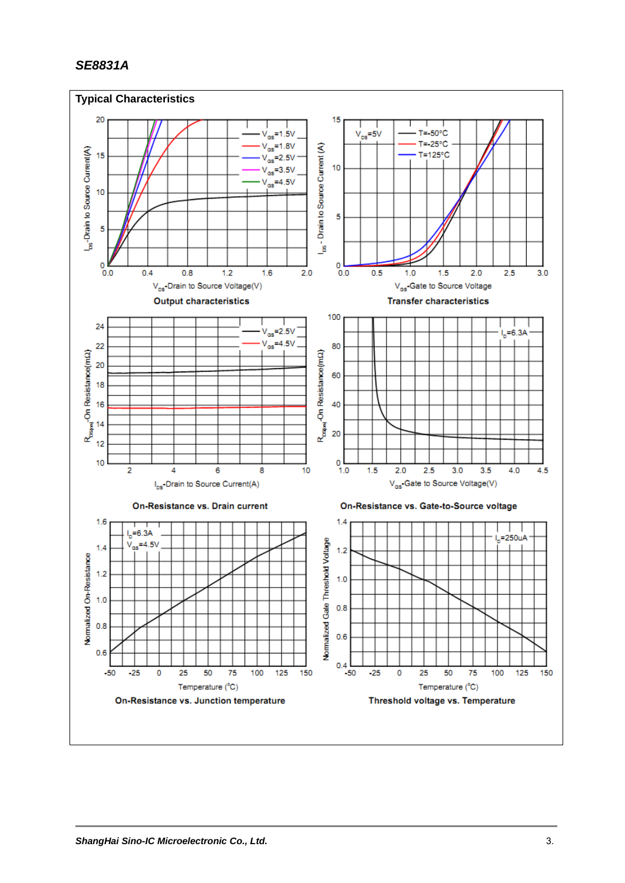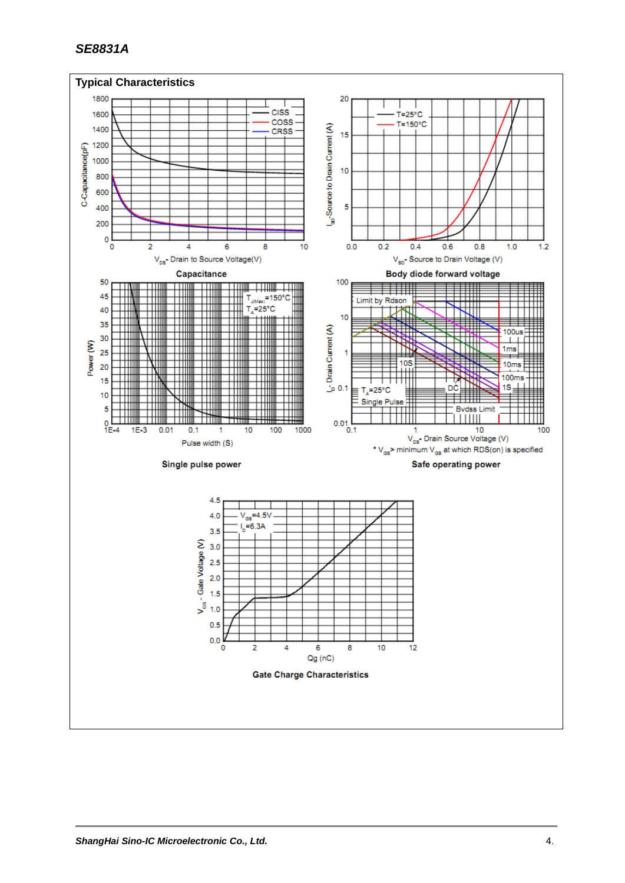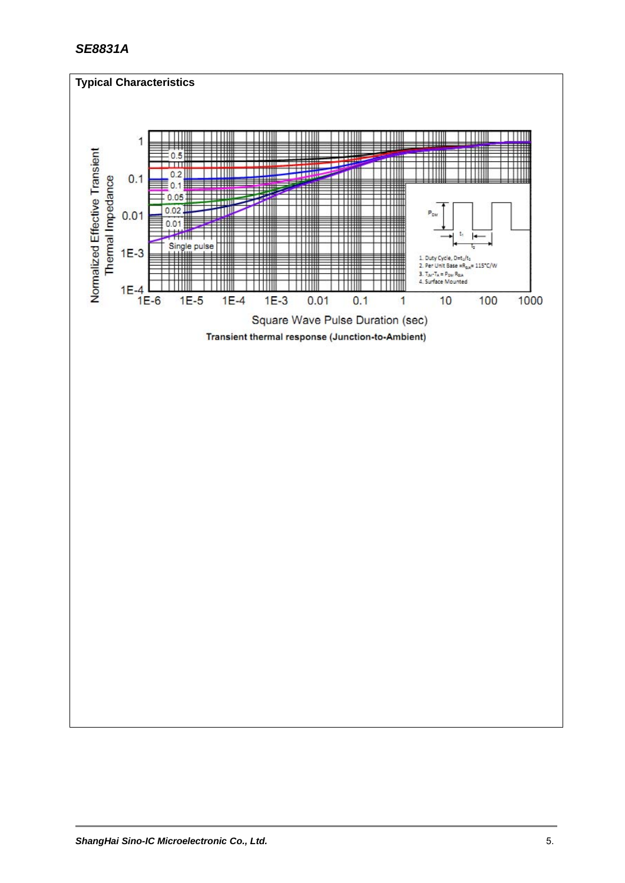